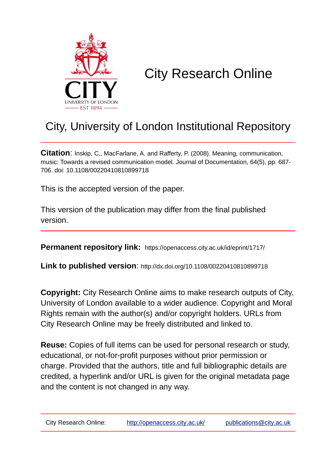

# City Research Online

# City, University of London Institutional Repository

**Citation**: Inskip, C., MacFarlane, A. and Rafferty, P. (2008). Meaning, communication, music: Towards a revised communication model. Journal of Documentation, 64(5), pp. 687- 706. doi: 10.1108/00220410810899718

This is the accepted version of the paper.

This version of the publication may differ from the final published version.

**Permanent repository link:** https://openaccess.city.ac.uk/id/eprint/1717/

**Link to published version**: http://dx.doi.org/10.1108/00220410810899718

**Copyright:** City Research Online aims to make research outputs of City, University of London available to a wider audience. Copyright and Moral Rights remain with the author(s) and/or copyright holders. URLs from City Research Online may be freely distributed and linked to.

**Reuse:** Copies of full items can be used for personal research or study, educational, or not-for-profit purposes without prior permission or charge. Provided that the authors, title and full bibliographic details are credited, a hyperlink and/or URL is given for the original metadata page and the content is not changed in any way.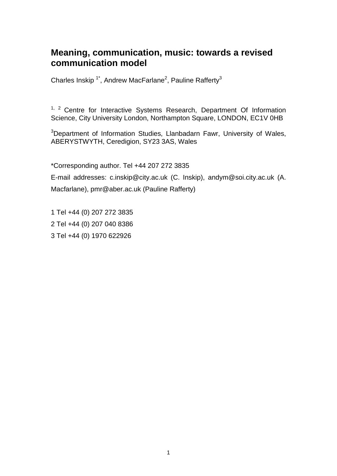# **Meaning, communication, music: towards a revised communication model**

Charles Inskip<sup>1\*</sup>, Andrew MacFarlane<sup>2</sup>, Pauline Rafferty<sup>3</sup>

<sup>1, 2</sup> Centre for Interactive Systems Research, Department Of Information Science, City University London, Northampton Square, LONDON, EC1V 0HB

<sup>3</sup>Department of Information Studies, Llanbadarn Fawr, University of Wales, ABERYSTWYTH, Ceredigion, SY23 3AS, Wales

\*Corresponding author. Tel +44 207 272 3835

E-mail addresses: c.inskip@city.ac.uk (C. Inskip), andym@soi.city.ac.uk (A. Macfarlane), pmr@aber.ac.uk (Pauline Rafferty)

1 Tel +44 (0) 207 272 3835 2 Tel +44 (0) 207 040 8386 3 Tel +44 (0) 1970 622926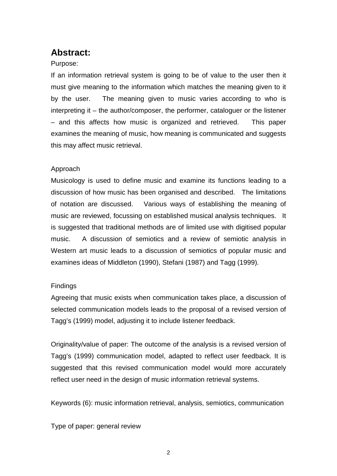# **Abstract:**

#### Purpose:

If an information retrieval system is going to be of value to the user then it must give meaning to the information which matches the meaning given to it by the user. The meaning given to music varies according to who is interpreting it – the author/composer, the performer, cataloguer or the listener – and this affects how music is organized and retrieved. This paper examines the meaning of music, how meaning is communicated and suggests this may affect music retrieval.

#### Approach

Musicology is used to define music and examine its functions leading to a discussion of how music has been organised and described. The limitations of notation are discussed. Various ways of establishing the meaning of music are reviewed, focussing on established musical analysis techniques. It is suggested that traditional methods are of limited use with digitised popular music. A discussion of semiotics and a review of semiotic analysis in Western art music leads to a discussion of semiotics of popular music and examines ideas of Middleton (1990), Stefani (1987) and Tagg (1999).

#### Findings

Agreeing that music exists when communication takes place, a discussion of selected communication models leads to the proposal of a revised version of Tagg's (1999) model, adjusting it to include listener feedback.

Originality/value of paper: The outcome of the analysis is a revised version of Tagg's (1999) communication model, adapted to reflect user feedback. It is suggested that this revised communication model would more accurately reflect user need in the design of music information retrieval systems.

Keywords (6): music information retrieval, analysis, semiotics, communication

Type of paper: general review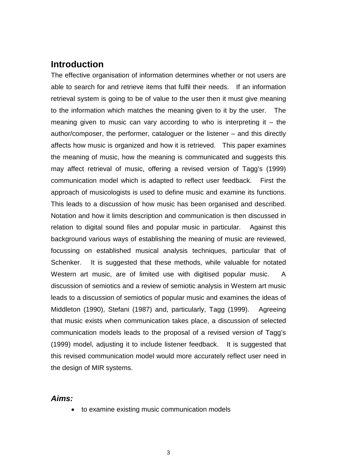# **Introduction**

The effective organisation of information determines whether or not users are able to search for and retrieve items that fulfil their needs. If an information retrieval system is going to be of value to the user then it must give meaning to the information which matches the meaning given to it by the user. The meaning given to music can vary according to who is interpreting it  $-$  the author/composer, the performer, cataloguer or the listener – and this directly affects how music is organized and how it is retrieved. This paper examines the meaning of music, how the meaning is communicated and suggests this may affect retrieval of music, offering a revised version of Tagg's (1999) communication model which is adapted to reflect user feedback. First the approach of musicologists is used to define music and examine its functions. This leads to a discussion of how music has been organised and described. Notation and how it limits description and communication is then discussed in relation to digital sound files and popular music in particular. Against this background various ways of establishing the meaning of music are reviewed, focussing on established musical analysis techniques, particular that of Schenker. It is suggested that these methods, while valuable for notated Western art music, are of limited use with digitised popular music. A discussion of semiotics and a review of semiotic analysis in Western art music leads to a discussion of semiotics of popular music and examines the ideas of Middleton (1990), Stefani (1987) and, particularly, Tagg (1999). Agreeing that music exists when communication takes place, a discussion of selected communication models leads to the proposal of a revised version of Tagg's (1999) model, adjusting it to include listener feedback. It is suggested that this revised communication model would more accurately reflect user need in the design of MIR systems.

#### *Aims:*

• to examine existing music communication models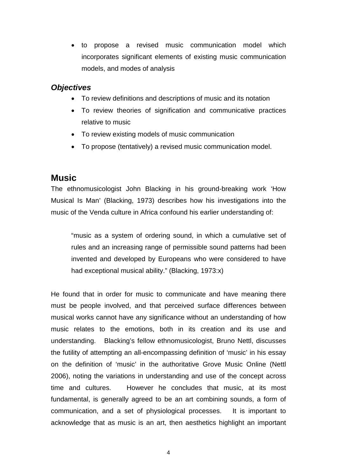• to propose a revised music communication model which incorporates significant elements of existing music communication models, and modes of analysis

#### *Objectives*

- To review definitions and descriptions of music and its notation
- To review theories of signification and communicative practices relative to music
- To review existing models of music communication
- To propose (tentatively) a revised music communication model.

## **Music**

The ethnomusicologist John Blacking in his ground-breaking work 'How Musical Is Man' (Blacking, 1973) describes how his investigations into the music of the Venda culture in Africa confound his earlier understanding of:

"music as a system of ordering sound, in which a cumulative set of rules and an increasing range of permissible sound patterns had been invented and developed by Europeans who were considered to have had exceptional musical ability." (Blacking, 1973:x)

He found that in order for music to communicate and have meaning there must be people involved, and that perceived surface differences between musical works cannot have any significance without an understanding of how music relates to the emotions, both in its creation and its use and understanding. Blacking's fellow ethnomusicologist, Bruno Nettl, discusses the futility of attempting an all-encompassing definition of 'music' in his essay on the definition of 'music' in the authoritative Grove Music Online (Nettl 2006), noting the variations in understanding and use of the concept across time and cultures. However he concludes that music, at its most fundamental, is generally agreed to be an art combining sounds, a form of communication, and a set of physiological processes. It is important to acknowledge that as music is an art, then aesthetics highlight an important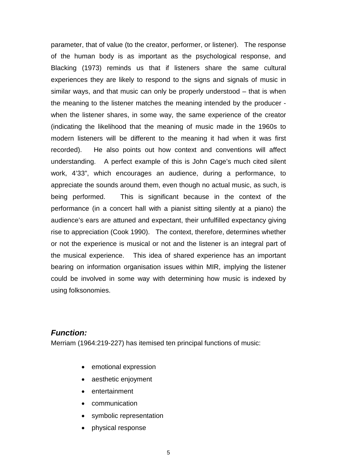parameter, that of value (to the creator, performer, or listener). The response of the human body is as important as the psychological response, and Blacking (1973) reminds us that if listeners share the same cultural experiences they are likely to respond to the signs and signals of music in similar ways, and that music can only be properly understood – that is when the meaning to the listener matches the meaning intended by the producer when the listener shares, in some way, the same experience of the creator (indicating the likelihood that the meaning of music made in the 1960s to modern listeners will be different to the meaning it had when it was first recorded). He also points out how context and conventions will affect understanding. A perfect example of this is John Cage's much cited silent work, 4'33", which encourages an audience, during a performance, to appreciate the sounds around them, even though no actual music, as such, is being performed. This is significant because in the context of the performance (in a concert hall with a pianist sitting silently at a piano) the audience's ears are attuned and expectant, their unfulfilled expectancy giving rise to appreciation (Cook 1990). The context, therefore, determines whether or not the experience is musical or not and the listener is an integral part of the musical experience. This idea of shared experience has an important bearing on information organisation issues within MIR, implying the listener could be involved in some way with determining how music is indexed by using folksonomies.

## *Function:*

Merriam (1964:219-227) has itemised ten principal functions of music:

- emotional expression
- aesthetic enjoyment
- entertainment
- communication
- symbolic representation
- physical response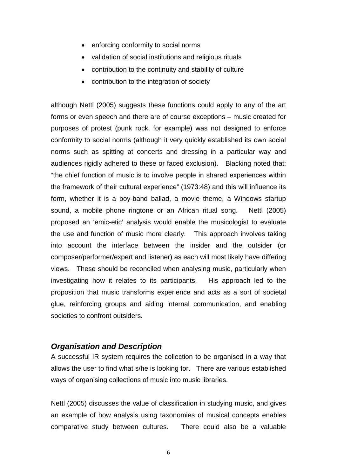- enforcing conformity to social norms
- validation of social institutions and religious rituals
- contribution to the continuity and stability of culture
- contribution to the integration of society

although Nettl (2005) suggests these functions could apply to any of the art forms or even speech and there are of course exceptions – music created for purposes of protest (punk rock, for example) was not designed to enforce conformity to social norms (although it very quickly established its own social norms such as spitting at concerts and dressing in a particular way and audiences rigidly adhered to these or faced exclusion). Blacking noted that: "the chief function of music is to involve people in shared experiences within the framework of their cultural experience" (1973:48) and this will influence its form, whether it is a boy-band ballad, a movie theme, a Windows startup sound, a mobile phone ringtone or an African ritual song. Nettl (2005) proposed an 'emic-etic' analysis would enable the musicologist to evaluate the use and function of music more clearly. This approach involves taking into account the interface between the insider and the outsider (or composer/performer/expert and listener) as each will most likely have differing views. These should be reconciled when analysing music, particularly when investigating how it relates to its participants. His approach led to the proposition that music transforms experience and acts as a sort of societal glue, reinforcing groups and aiding internal communication, and enabling societies to confront outsiders.

#### *Organisation and Description*

A successful IR system requires the collection to be organised in a way that allows the user to find what s/he is looking for. There are various established ways of organising collections of music into music libraries.

Nettl (2005) discusses the value of classification in studying music, and gives an example of how analysis using taxonomies of musical concepts enables comparative study between cultures. There could also be a valuable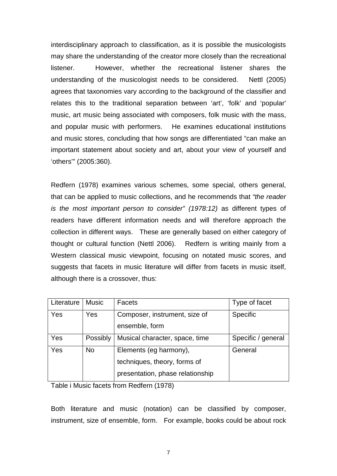interdisciplinary approach to classification, as it is possible the musicologists may share the understanding of the creator more closely than the recreational listener. However, whether the recreational listener shares the understanding of the musicologist needs to be considered. Nettl (2005) agrees that taxonomies vary according to the background of the classifier and relates this to the traditional separation between 'art', 'folk' and 'popular' music, art music being associated with composers, folk music with the mass, and popular music with performers. He examines educational institutions and music stores, concluding that how songs are differentiated "can make an important statement about society and art, about your view of yourself and 'others'" (2005:360).

Redfern (1978) examines various schemes, some special, others general, that can be applied to music collections, and he recommends that *"the reader is the most important person to consider" (1978:12)* as different types of readers have different information needs and will therefore approach the collection in different ways. These are generally based on either category of thought or cultural function (Nettl 2006). Redfern is writing mainly from a Western classical music viewpoint, focusing on notated music scores, and suggests that facets in music literature will differ from facets in music itself, although there is a crossover, thus:

| Literature | <b>Music</b> | Facets                           | Type of facet      |
|------------|--------------|----------------------------------|--------------------|
| Yes        | Yes          | Composer, instrument, size of    | Specific           |
|            |              | ensemble, form                   |                    |
| Yes        | Possibly     | Musical character, space, time   | Specific / general |
| Yes        | <b>No</b>    | Elements (eg harmony),           | General            |
|            |              | techniques, theory, forms of     |                    |
|            |              | presentation, phase relationship |                    |

Table i Music facets from Redfern (1978)

Both literature and music (notation) can be classified by composer, instrument, size of ensemble, form. For example, books could be about rock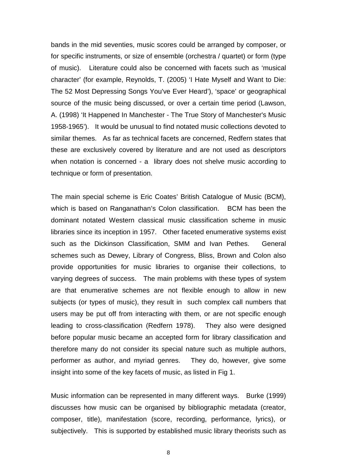bands in the mid seventies, music scores could be arranged by composer, or for specific instruments, or size of ensemble (orchestra / quartet) or form (type of music). Literature could also be concerned with facets such as 'musical character' (for example, Reynolds, T. (2005) 'I Hate Myself and Want to Die: The 52 Most Depressing Songs You've Ever Heard'), 'space' or geographical source of the music being discussed, or over a certain time period (Lawson, A. (1998) 'It Happened In Manchester - The True Story of Manchester's Music 1958-1965'). It would be unusual to find notated music collections devoted to similar themes. As far as technical facets are concerned, Redfern states that these are exclusively covered by literature and are not used as descriptors when notation is concerned - a library does not shelve music according to technique or form of presentation.

The main special scheme is Eric Coates' British Catalogue of Music (BCM), which is based on Ranganathan's Colon classification. BCM has been the dominant notated Western classical music classification scheme in music libraries since its inception in 1957. Other faceted enumerative systems exist such as the Dickinson Classification, SMM and Ivan Pethes. General schemes such as Dewey, Library of Congress, Bliss, Brown and Colon also provide opportunities for music libraries to organise their collections, to varying degrees of success. The main problems with these types of system are that enumerative schemes are not flexible enough to allow in new subjects (or types of music), they result in such complex call numbers that users may be put off from interacting with them, or are not specific enough leading to cross-classification (Redfern 1978). They also were designed before popular music became an accepted form for library classification and therefore many do not consider its special nature such as multiple authors, performer as author, and myriad genres. They do, however, give some insight into some of the key facets of music, as listed in Fig 1.

Music information can be represented in many different ways. Burke (1999) discusses how music can be organised by bibliographic metadata (creator, composer, title), manifestation (score, recording, performance, lyrics), or subjectively. This is supported by established music library theorists such as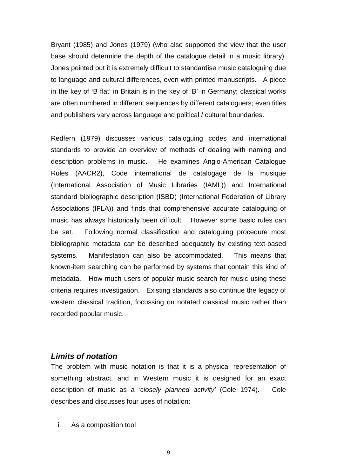Bryant (1985) and Jones (1979) (who also supported the view that the user base should determine the depth of the catalogue detail in a music library). Jones pointed out it is extremely difficult to standardise music cataloguing due to language and cultural differences, even with printed manuscripts. A piece in the key of 'B flat' in Britain is in the key of 'B' in Germany; classical works are often numbered in different sequences by different cataloguers; even titles and publishers vary across language and political / cultural boundaries.

Redfern (1979) discusses various cataloguing codes and international standards to provide an overview of methods of dealing with naming and description problems in music. He examines Anglo-American Catalogue Rules (AACR2), Code international de catalogage de la musique (International Association of Music Libraries (IAML)) and International standard bibliographic description (ISBD) (International Federation of Library Associations (IFLA)) and finds that comprehensive accurate cataloguing of music has always historically been difficult. However some basic rules can be set. Following normal classification and cataloguing procedure most bibliographic metadata can be described adequately by existing text-based systems. Manifestation can also be accommodated. This means that known-item searching can be performed by systems that contain this kind of metadata. How much users of popular music search for music using these criteria requires investigation. Existing standards also continue the legacy of western classical tradition, focussing on notated classical music rather than recorded popular music.

#### *Limits of notation*

The problem with music notation is that it is a physical representation of something abstract, and in Western music it is designed for an exact description of music as a *'closely planned activity'* (Cole 1974). Cole describes and discusses four uses of notation:

i. As a composition tool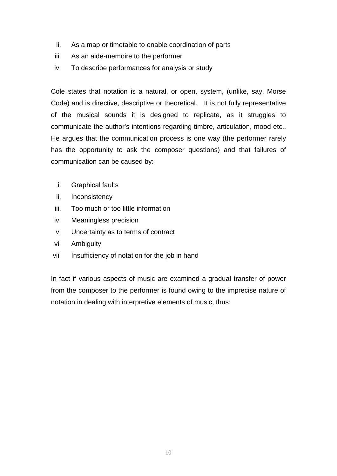- ii. As a map or timetable to enable coordination of parts
- iii. As an aide-memoire to the performer
- iv. To describe performances for analysis or study

Cole states that notation is a natural, or open, system, (unlike, say, Morse Code) and is directive, descriptive or theoretical. It is not fully representative of the musical sounds it is designed to replicate, as it struggles to communicate the author's intentions regarding timbre, articulation, mood etc.. He argues that the communication process is one way (the performer rarely has the opportunity to ask the composer questions) and that failures of communication can be caused by:

- i. Graphical faults
- ii. Inconsistency
- iii. Too much or too little information
- iv. Meaningless precision
- v. Uncertainty as to terms of contract
- vi. Ambiguity
- vii. Insufficiency of notation for the job in hand

In fact if various aspects of music are examined a gradual transfer of power from the composer to the performer is found owing to the imprecise nature of notation in dealing with interpretive elements of music, thus: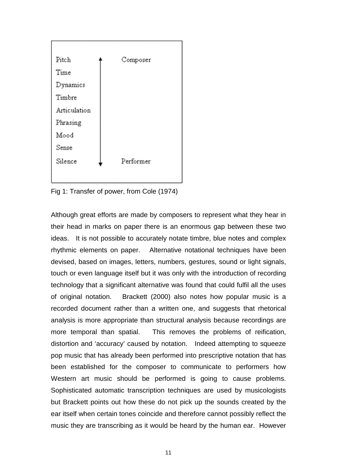

Fig 1: Transfer of power, from Cole (1974)

Although great efforts are made by composers to represent what they hear in their head in marks on paper there is an enormous gap between these two ideas. It is not possible to accurately notate timbre, blue notes and complex rhythmic elements on paper. Alternative notational techniques have been devised, based on images, letters, numbers, gestures, sound or light signals, touch or even language itself but it was only with the introduction of recording technology that a significant alternative was found that could fulfil all the uses of original notation. Brackett (2000) also notes how popular music is a recorded document rather than a written one, and suggests that rhetorical analysis is more appropriate than structural analysis because recordings are more temporal than spatial. This removes the problems of reification, distortion and 'accuracy' caused by notation. Indeed attempting to squeeze pop music that has already been performed into prescriptive notation that has been established for the composer to communicate to performers how Western art music should be performed is going to cause problems. Sophisticated automatic transcription techniques are used by musicologists but Brackett points out how these do not pick up the sounds created by the ear itself when certain tones coincide and therefore cannot possibly reflect the music they are transcribing as it would be heard by the human ear. However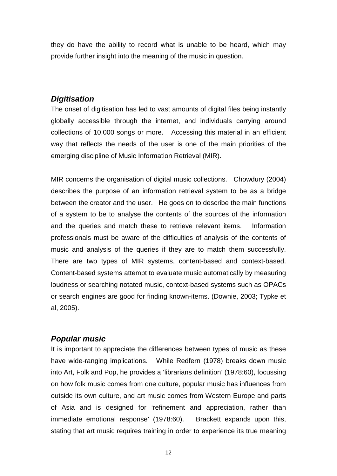they do have the ability to record what is unable to be heard, which may provide further insight into the meaning of the music in question.

### *Digitisation*

The onset of digitisation has led to vast amounts of digital files being instantly globally accessible through the internet, and individuals carrying around collections of 10,000 songs or more. Accessing this material in an efficient way that reflects the needs of the user is one of the main priorities of the emerging discipline of Music Information Retrieval (MIR).

MIR concerns the organisation of digital music collections. Chowdury (2004) describes the purpose of an information retrieval system to be as a bridge between the creator and the user. He goes on to describe the main functions of a system to be to analyse the contents of the sources of the information and the queries and match these to retrieve relevant items. Information professionals must be aware of the difficulties of analysis of the contents of music and analysis of the queries if they are to match them successfully. There are two types of MIR systems, content-based and context-based. Content-based systems attempt to evaluate music automatically by measuring loudness or searching notated music, context-based systems such as OPACs or search engines are good for finding known-items. (Downie, 2003; Typke et al, 2005).

## *Popular music*

It is important to appreciate the differences between types of music as these have wide-ranging implications. While Redfern (1978) breaks down music into Art, Folk and Pop, he provides a 'librarians definition' (1978:60), focussing on how folk music comes from one culture, popular music has influences from outside its own culture, and art music comes from Western Europe and parts of Asia and is designed for 'refinement and appreciation, rather than immediate emotional response' (1978:60). Brackett expands upon this, stating that art music requires training in order to experience its true meaning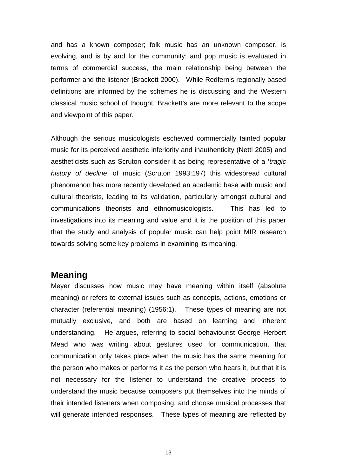and has a known composer; folk music has an unknown composer, is evolving, and is by and for the community; and pop music is evaluated in terms of commercial success, the main relationship being between the performer and the listener (Brackett 2000). While Redfern's regionally based definitions are informed by the schemes he is discussing and the Western classical music school of thought, Brackett's are more relevant to the scope and viewpoint of this paper.

Although the serious musicologists eschewed commercially tainted popular music for its perceived aesthetic inferiority and inauthenticity (Nettl 2005) and aestheticists such as Scruton consider it as being representative of a '*tragic history of decline'* of music (Scruton 1993:197) this widespread cultural phenomenon has more recently developed an academic base with music and cultural theorists, leading to its validation, particularly amongst cultural and communications theorists and ethnomusicologists. This has led to investigations into its meaning and value and it is the position of this paper that the study and analysis of popular music can help point MIR research towards solving some key problems in examining its meaning.

#### **Meaning**

Meyer discusses how music may have meaning within itself (absolute meaning) or refers to external issues such as concepts, actions, emotions or character (referential meaning) (1956:1). These types of meaning are not mutually exclusive, and both are based on learning and inherent understanding. He argues, referring to social behaviourist George Herbert Mead who was writing about gestures used for communication, that communication only takes place when the music has the same meaning for the person who makes or performs it as the person who hears it, but that it is not necessary for the listener to understand the creative process to understand the music because composers put themselves into the minds of their intended listeners when composing, and choose musical processes that will generate intended responses. These types of meaning are reflected by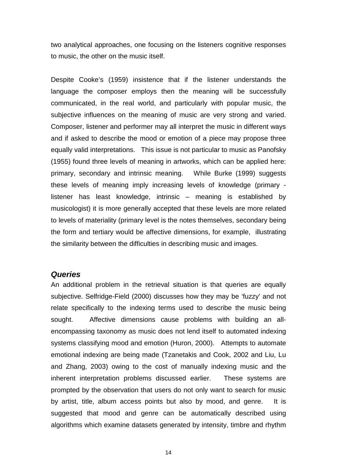two analytical approaches, one focusing on the listeners cognitive responses to music, the other on the music itself.

Despite Cooke's (1959) insistence that if the listener understands the language the composer employs then the meaning will be successfully communicated, in the real world, and particularly with popular music, the subjective influences on the meaning of music are very strong and varied. Composer, listener and performer may all interpret the music in different ways and if asked to describe the mood or emotion of a piece may propose three equally valid interpretations. This issue is not particular to music as Panofsky (1955) found three levels of meaning in artworks, which can be applied here: primary, secondary and intrinsic meaning. While Burke (1999) suggests these levels of meaning imply increasing levels of knowledge (primary listener has least knowledge, intrinsic – meaning is established by musicologist) it is more generally accepted that these levels are more related to levels of materiality (primary level is the notes themselves, secondary being the form and tertiary would be affective dimensions, for example, illustrating the similarity between the difficulties in describing music and images.

#### *Queries*

An additional problem in the retrieval situation is that queries are equally subjective. Selfridge-Field (2000) discusses how they may be 'fuzzy' and not relate specifically to the indexing terms used to describe the music being sought. Affective dimensions cause problems with building an allencompassing taxonomy as music does not lend itself to automated indexing systems classifying mood and emotion (Huron, 2000). Attempts to automate emotional indexing are being made (Tzanetakis and Cook, 2002 and Liu, Lu and Zhang, 2003) owing to the cost of manually indexing music and the inherent interpretation problems discussed earlier. These systems are prompted by the observation that users do not only want to search for music by artist, title, album access points but also by mood, and genre. It is suggested that mood and genre can be automatically described using algorithms which examine datasets generated by intensity, timbre and rhythm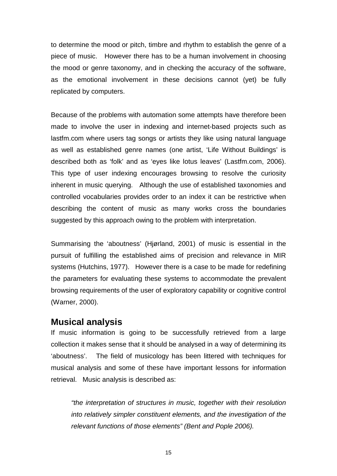to determine the mood or pitch, timbre and rhythm to establish the genre of a piece of music. However there has to be a human involvement in choosing the mood or genre taxonomy, and in checking the accuracy of the software, as the emotional involvement in these decisions cannot (yet) be fully replicated by computers.

Because of the problems with automation some attempts have therefore been made to involve the user in indexing and internet-based projects such as lastfm.com where users tag songs or artists they like using natural language as well as established genre names (one artist, 'Life Without Buildings' is described both as 'folk' and as 'eyes like lotus leaves' (Lastfm.com, 2006). This type of user indexing encourages browsing to resolve the curiosity inherent in music querying. Although the use of established taxonomies and controlled vocabularies provides order to an index it can be restrictive when describing the content of music as many works cross the boundaries suggested by this approach owing to the problem with interpretation.

Summarising the 'aboutness' (Hjørland, 2001) of music is essential in the pursuit of fulfilling the established aims of precision and relevance in MIR systems (Hutchins, 1977). However there is a case to be made for redefining the parameters for evaluating these systems to accommodate the prevalent browsing requirements of the user of exploratory capability or cognitive control (Warner, 2000).

## **Musical analysis**

If music information is going to be successfully retrieved from a large collection it makes sense that it should be analysed in a way of determining its 'aboutness'. The field of musicology has been littered with techniques for musical analysis and some of these have important lessons for information retrieval. Music analysis is described as:

*"the interpretation of structures in music, together with their resolution into relatively simpler constituent elements, and the investigation of the relevant functions of those elements" (Bent and Pople 2006).*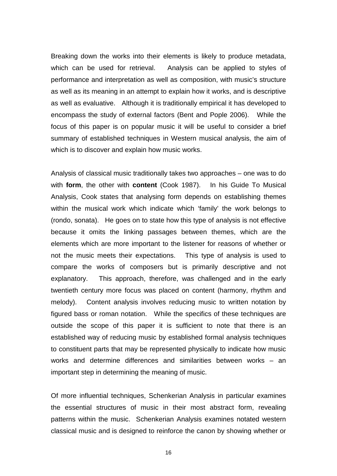Breaking down the works into their elements is likely to produce metadata, which can be used for retrieval. Analysis can be applied to styles of performance and interpretation as well as composition, with music's structure as well as its meaning in an attempt to explain how it works, and is descriptive as well as evaluative. Although it is traditionally empirical it has developed to encompass the study of external factors (Bent and Pople 2006). While the focus of this paper is on popular music it will be useful to consider a brief summary of established techniques in Western musical analysis, the aim of which is to discover and explain how music works.

Analysis of classical music traditionally takes two approaches – one was to do with **form**, the other with **content** (Cook 1987). In his Guide To Musical Analysis, Cook states that analysing form depends on establishing themes within the musical work which indicate which 'family' the work belongs to (rondo, sonata). He goes on to state how this type of analysis is not effective because it omits the linking passages between themes, which are the elements which are more important to the listener for reasons of whether or not the music meets their expectations. This type of analysis is used to compare the works of composers but is primarily descriptive and not explanatory. This approach, therefore, was challenged and in the early twentieth century more focus was placed on content (harmony, rhythm and melody). Content analysis involves reducing music to written notation by figured bass or roman notation. While the specifics of these techniques are outside the scope of this paper it is sufficient to note that there is an established way of reducing music by established formal analysis techniques to constituent parts that may be represented physically to indicate how music works and determine differences and similarities between works – an important step in determining the meaning of music.

Of more influential techniques, Schenkerian Analysis in particular examines the essential structures of music in their most abstract form, revealing patterns within the music. Schenkerian Analysis examines notated western classical music and is designed to reinforce the canon by showing whether or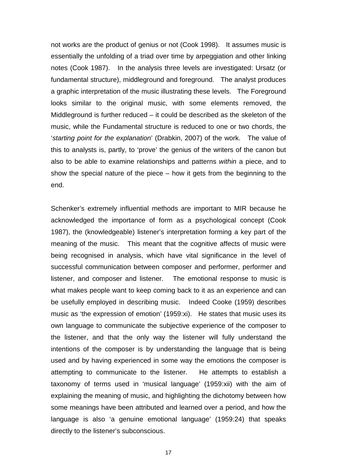not works are the product of genius or not (Cook 1998). It assumes music is essentially the unfolding of a triad over time by arpeggiation and other linking notes (Cook 1987). In the analysis three levels are investigated: Ursatz (or fundamental structure), middleground and foreground. The analyst produces a graphic interpretation of the music illustrating these levels. The Foreground looks similar to the original music, with some elements removed, the Middleground is further reduced – it could be described as the skeleton of the music, while the Fundamental structure is reduced to one or two chords, the '*starting point for the explanation*' (Drabkin, 2007) of the work. The value of this to analysts is, partly, to 'prove' the genius of the writers of the canon but also to be able to examine relationships and patterns *within* a piece, and to show the special nature of the piece – how it gets from the beginning to the end.

Schenker's extremely influential methods are important to MIR because he acknowledged the importance of form as a psychological concept (Cook 1987), the (knowledgeable) listener's interpretation forming a key part of the meaning of the music. This meant that the cognitive affects of music were being recognised in analysis, which have vital significance in the level of successful communication between composer and performer, performer and listener, and composer and listener. The emotional response to music is what makes people want to keep coming back to it as an experience and can be usefully employed in describing music. Indeed Cooke (1959) describes music as 'the expression of emotion' (1959:xi). He states that music uses its own language to communicate the subjective experience of the composer to the listener, and that the only way the listener will fully understand the intentions of the composer is by understanding the language that is being used and by having experienced in some way the emotions the composer is attempting to communicate to the listener. He attempts to establish a taxonomy of terms used in 'musical language' (1959:xii) with the aim of explaining the meaning of music, and highlighting the dichotomy between how some meanings have been attributed and learned over a period, and how the language is also 'a genuine emotional language' (1959:24) that speaks directly to the listener's subconscious.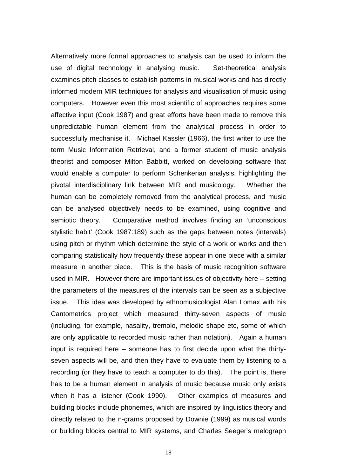Alternatively more formal approaches to analysis can be used to inform the use of digital technology in analysing music. Set-theoretical analysis examines pitch classes to establish patterns in musical works and has directly informed modern MIR techniques for analysis and visualisation of music using computers. However even this most scientific of approaches requires some affective input (Cook 1987) and great efforts have been made to remove this unpredictable human element from the analytical process in order to successfully mechanise it. Michael Kassler (1966), the first writer to use the term Music Information Retrieval, and a former student of music analysis theorist and composer Milton Babbitt, worked on developing software that would enable a computer to perform Schenkerian analysis, highlighting the pivotal interdisciplinary link between MIR and musicology. Whether the human can be completely removed from the analytical process, and music can be analysed objectively needs to be examined, using cognitive and semiotic theory. Comparative method involves finding an 'unconscious stylistic habit' (Cook 1987:189) such as the gaps between notes (intervals) using pitch or rhythm which determine the style of a work or works and then comparing statistically how frequently these appear in one piece with a similar measure in another piece. This is the basis of music recognition software used in MIR. However there are important issues of objectivity here – setting the parameters of the measures of the intervals can be seen as a subjective issue. This idea was developed by ethnomusicologist Alan Lomax with his Cantometrics project which measured thirty-seven aspects of music (including, for example, nasality, tremolo, melodic shape etc, some of which are only applicable to recorded music rather than notation). Again a human input is required here – someone has to first decide upon what the thirtyseven aspects will be, and then they have to evaluate them by listening to a recording (or they have to teach a computer to do this). The point is, there has to be a human element in analysis of music because music only exists when it has a listener (Cook 1990). Other examples of measures and building blocks include phonemes, which are inspired by linguistics theory and directly related to the n-grams proposed by Downie (1999) as musical words or building blocks central to MIR systems, and Charles Seeger's melograph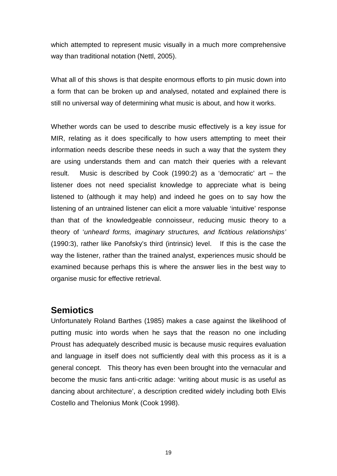which attempted to represent music visually in a much more comprehensive way than traditional notation (Nettl, 2005).

What all of this shows is that despite enormous efforts to pin music down into a form that can be broken up and analysed, notated and explained there is still no universal way of determining what music is about, and how it works.

Whether words can be used to describe music effectively is a key issue for MIR, relating as it does specifically to how users attempting to meet their information needs describe these needs in such a way that the system they are using understands them and can match their queries with a relevant result. Music is described by Cook (1990:2) as a 'democratic' art – the listener does not need specialist knowledge to appreciate what is being listened to (although it may help) and indeed he goes on to say how the listening of an untrained listener can elicit a more valuable 'intuitive' response than that of the knowledgeable connoisseur, reducing music theory to a theory of '*unheard forms, imaginary structures, and fictitious relationships'* (1990:3), rather like Panofsky's third (intrinsic) level. If this is the case the way the listener, rather than the trained analyst, experiences music should be examined because perhaps this is where the answer lies in the best way to organise music for effective retrieval.

# **Semiotics**

Unfortunately Roland Barthes (1985) makes a case against the likelihood of putting music into words when he says that the reason no one including Proust has adequately described music is because music requires evaluation and language in itself does not sufficiently deal with this process as it is a general concept. This theory has even been brought into the vernacular and become the music fans anti-critic adage: 'writing about music is as useful as dancing about architecture', a description credited widely including both Elvis Costello and Thelonius Monk (Cook 1998).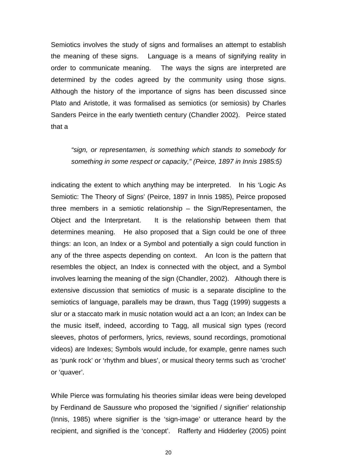Semiotics involves the study of signs and formalises an attempt to establish the meaning of these signs. Language is a means of signifying reality in order to communicate meaning. The ways the signs are interpreted are determined by the codes agreed by the community using those signs. Although the history of the importance of signs has been discussed since Plato and Aristotle, it was formalised as semiotics (or semiosis) by Charles Sanders Peirce in the early twentieth century (Chandler 2002). Peirce stated that a

*"sign, or representamen, is something which stands to somebody for something in some respect or capacity," (Peirce, 1897 in Innis 1985:5)*

indicating the extent to which anything may be interpreted. In his 'Logic As Semiotic: The Theory of Signs' (Peirce, 1897 in Innis 1985), Peirce proposed three members in a semiotic relationship – the Sign/Representamen, the Object and the Interpretant. It is the relationship between them that determines meaning. He also proposed that a Sign could be one of three things: an Icon, an Index or a Symbol and potentially a sign could function in any of the three aspects depending on context. An Icon is the pattern that resembles the object, an Index is connected with the object, and a Symbol involves learning the meaning of the sign (Chandler, 2002). Although there is extensive discussion that semiotics of music is a separate discipline to the semiotics of language, parallels may be drawn, thus Tagg (1999) suggests a slur or a staccato mark in music notation would act a an Icon; an Index can be the music itself, indeed, according to Tagg, all musical sign types (record sleeves, photos of performers, lyrics, reviews, sound recordings, promotional videos) are Indexes; Symbols would include, for example, genre names such as 'punk rock' or 'rhythm and blues', or musical theory terms such as 'crochet' or 'quaver'.

While Pierce was formulating his theories similar ideas were being developed by Ferdinand de Saussure who proposed the 'signified / signifier' relationship (Innis, 1985) where signifier is the 'sign-image' or utterance heard by the recipient, and signified is the 'concept'. Rafferty and Hidderley (2005) point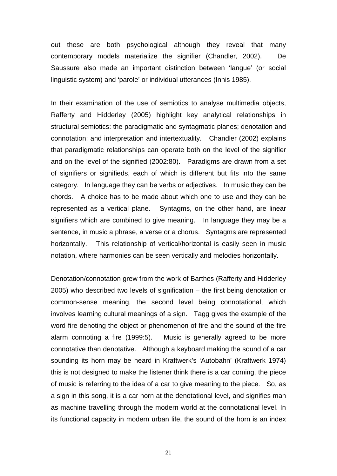out these are both psychological although they reveal that many contemporary models materialize the signifier (Chandler, 2002). De Saussure also made an important distinction between 'langue' (or social linguistic system) and 'parole' or individual utterances (Innis 1985).

In their examination of the use of semiotics to analyse multimedia objects, Rafferty and Hidderley (2005) highlight key analytical relationships in structural semiotics: the paradigmatic and syntagmatic planes; denotation and connotation; and interpretation and intertextuality. Chandler (2002) explains that paradigmatic relationships can operate both on the level of the signifier and on the level of the signified (2002:80). Paradigms are drawn from a set of signifiers or signifieds, each of which is different but fits into the same category. In language they can be verbs or adjectives. In music they can be chords. A choice has to be made about which one to use and they can be represented as a vertical plane. Syntagms, on the other hand, are linear signifiers which are combined to give meaning. In language they may be a sentence, in music a phrase, a verse or a chorus. Syntagms are represented horizontally. This relationship of vertical/horizontal is easily seen in music notation, where harmonies can be seen vertically and melodies horizontally.

Denotation/connotation grew from the work of Barthes (Rafferty and Hidderley 2005) who described two levels of signification – the first being denotation or common-sense meaning, the second level being connotational, which involves learning cultural meanings of a sign. Tagg gives the example of the word fire denoting the object or phenomenon of fire and the sound of the fire alarm connoting a fire (1999:5). Music is generally agreed to be more connotative than denotative. Although a keyboard making the sound of a car sounding its horn may be heard in Kraftwerk's 'Autobahn' (Kraftwerk 1974) this is not designed to make the listener think there is a car coming, the piece of music is referring to the idea of a car to give meaning to the piece. So, as a sign in this song, it is a car horn at the denotational level, and signifies man as machine travelling through the modern world at the connotational level. In its functional capacity in modern urban life, the sound of the horn is an index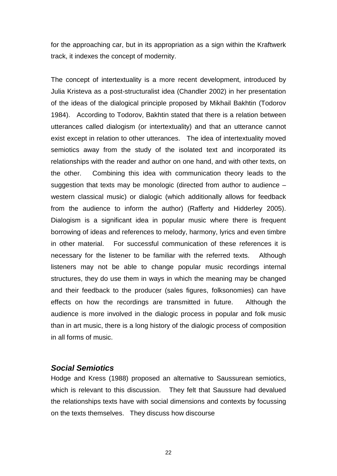for the approaching car, but in its appropriation as a sign within the Kraftwerk track, it indexes the concept of modernity.

The concept of intertextuality is a more recent development, introduced by Julia Kristeva as a post-structuralist idea (Chandler 2002) in her presentation of the ideas of the dialogical principle proposed by Mikhail Bakhtin (Todorov 1984). According to Todorov, Bakhtin stated that there is a relation between utterances called dialogism (or intertextuality) and that an utterance cannot exist except in relation to other utterances. The idea of intertextuality moved semiotics away from the study of the isolated text and incorporated its relationships with the reader and author on one hand, and with other texts, on the other. Combining this idea with communication theory leads to the suggestion that texts may be monologic (directed from author to audience – western classical music) or dialogic (which additionally allows for feedback from the audience to inform the author) (Rafferty and Hidderley 2005). Dialogism is a significant idea in popular music where there is frequent borrowing of ideas and references to melody, harmony, lyrics and even timbre in other material. For successful communication of these references it is necessary for the listener to be familiar with the referred texts. Although listeners may not be able to change popular music recordings internal structures, they do use them in ways in which the meaning may be changed and their feedback to the producer (sales figures, folksonomies) can have effects on how the recordings are transmitted in future. Although the audience is more involved in the dialogic process in popular and folk music than in art music, there is a long history of the dialogic process of composition in all forms of music.

#### *Social Semiotics*

Hodge and Kress (1988) proposed an alternative to Saussurean semiotics, which is relevant to this discussion. They felt that Saussure had devalued the relationships texts have with social dimensions and contexts by focussing on the texts themselves. They discuss how discourse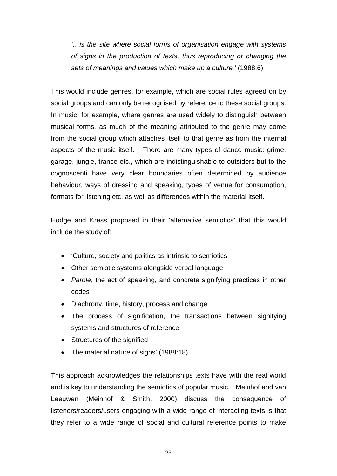*'…is the site where social forms of organisation engage with systems of signs in the production of texts, thus reproducing or changing the sets of meanings and values which make up a culture.'* (1988:6)

This would include genres, for example, which are social rules agreed on by social groups and can only be recognised by reference to these social groups. In music, for example, where genres are used widely to distinguish between musical forms, as much of the meaning attributed to the genre may come from the social group which attaches itself to that genre as from the internal aspects of the music itself. There are many types of dance music: grime, garage, jungle, trance etc., which are indistinguishable to outsiders but to the cognoscenti have very clear boundaries often determined by audience behaviour, ways of dressing and speaking, types of venue for consumption, formats for listening etc. as well as differences within the material itself.

Hodge and Kress proposed in their 'alternative semiotics' that this would include the study of:

- 'Culture, society and politics as intrinsic to semiotics
- Other semiotic systems alongside verbal language
- *Parole*, the act of speaking, and concrete signifying practices in other codes
- Diachrony, time, history, process and change
- The process of signification, the transactions between signifying systems and structures of reference
- Structures of the signified
- The material nature of signs' (1988:18)

This approach acknowledges the relationships texts have with the real world and is key to understanding the semiotics of popular music. Meinhof and van Leeuwen (Meinhof & Smith, 2000) discuss the consequence of listeners/readers/users engaging with a wide range of interacting texts is that they refer to a wide range of social and cultural reference points to make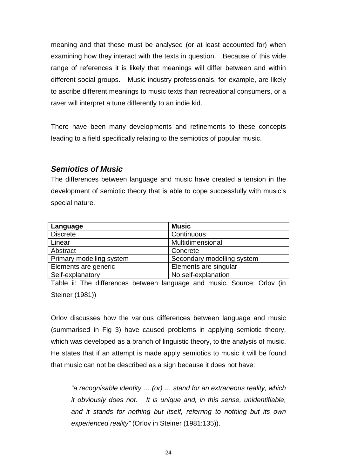meaning and that these must be analysed (or at least accounted for) when examining how they interact with the texts in question. Because of this wide range of references it is likely that meanings will differ between and within different social groups. Music industry professionals, for example, are likely to ascribe different meanings to music texts than recreational consumers, or a raver will interpret a tune differently to an indie kid.

There have been many developments and refinements to these concepts leading to a field specifically relating to the semiotics of popular music.

### *Semiotics of Music*

The differences between language and music have created a tension in the development of semiotic theory that is able to cope successfully with music's special nature.

| Language                 | <b>Music</b>               |
|--------------------------|----------------------------|
| <b>Discrete</b>          | Continuous                 |
| Linear                   | Multidimensional           |
| Abstract                 | Concrete                   |
| Primary modelling system | Secondary modelling system |
| Elements are generic     | Elements are singular      |
| Self-explanatory         | No self-explanation        |

Table ii: The differences between language and music. Source: Orlov (in Steiner (1981))

Orlov discusses how the various differences between language and music (summarised in Fig 3) have caused problems in applying semiotic theory, which was developed as a branch of linguistic theory, to the analysis of music. He states that if an attempt is made apply semiotics to music it will be found that music can not be described as a sign because it does not have:

*"a recognisable identity … (or) … stand for an extraneous reality, which it obviously does not. It is unique and, in this sense, unidentifiable, and it stands for nothing but itself, referring to nothing but its own experienced reality"* (Orlov in Steiner (1981:135)).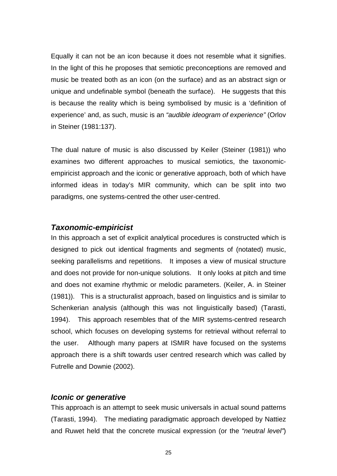Equally it can not be an icon because it does not resemble what it signifies. In the light of this he proposes that semiotic preconceptions are removed and music be treated both as an icon (on the surface) and as an abstract sign or unique and undefinable symbol (beneath the surface). He suggests that this is because the reality which is being symbolised by music is a 'definition of experience' and, as such, music is an *"audible ideogram of experience"* (Orlov in Steiner (1981:137).

The dual nature of music is also discussed by Keiler (Steiner (1981)) who examines two different approaches to musical semiotics, the taxonomicempiricist approach and the iconic or generative approach, both of which have informed ideas in today's MIR community, which can be split into two paradigms, one systems-centred the other user-centred.

#### *Taxonomic-empiricist*

In this approach a set of explicit analytical procedures is constructed which is designed to pick out identical fragments and segments of (notated) music, seeking parallelisms and repetitions. It imposes a view of musical structure and does not provide for non-unique solutions. It only looks at pitch and time and does not examine rhythmic or melodic parameters. (Keiler, A. in Steiner (1981)). This is a structuralist approach, based on linguistics and is similar to Schenkerian analysis (although this was not linguistically based) (Tarasti, 1994). This approach resembles that of the MIR systems-centred research school, which focuses on developing systems for retrieval without referral to the user. Although many papers at ISMIR have focused on the systems approach there is a shift towards user centred research which was called by Futrelle and Downie (2002).

#### *Iconic or generative*

This approach is an attempt to seek music universals in actual sound patterns (Tarasti, 1994). The mediating paradigmatic approach developed by Nattiez and Ruwet held that the concrete musical expression (or the *"neutral level"*)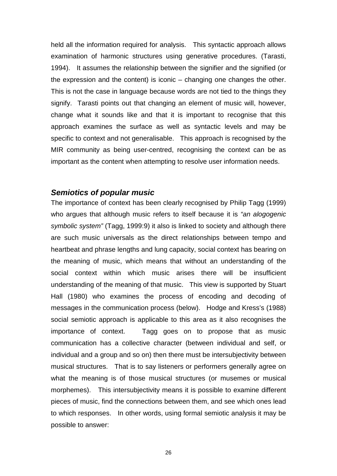held all the information required for analysis. This syntactic approach allows examination of harmonic structures using generative procedures. (Tarasti, 1994). It assumes the relationship between the signifier and the signified (or the expression and the content) is iconic – changing one changes the other. This is not the case in language because words are not tied to the things they signify. Tarasti points out that changing an element of music will, however, change what it sounds like and that it is important to recognise that this approach examines the surface as well as syntactic levels and may be specific to context and not generalisable. This approach is recognised by the MIR community as being user-centred, recognising the context can be as important as the content when attempting to resolve user information needs.

#### *Semiotics of popular music*

The importance of context has been clearly recognised by Philip Tagg (1999) who argues that although music refers to itself because it is *"an alogogenic symbolic system"* (Tagg, 1999:9) it also is linked to society and although there are such music universals as the direct relationships between tempo and heartbeat and phrase lengths and lung capacity, social context has bearing on the meaning of music, which means that without an understanding of the social context within which music arises there will be insufficient understanding of the meaning of that music. This view is supported by Stuart Hall (1980) who examines the process of encoding and decoding of messages in the communication process (below). Hodge and Kress's (1988) social semiotic approach is applicable to this area as it also recognises the importance of context. Tagg goes on to propose that as music communication has a collective character (between individual and self, or individual and a group and so on) then there must be intersubjectivity between musical structures. That is to say listeners or performers generally agree on what the meaning is of those musical structures (or musemes or musical morphemes). This intersubjectivity means it is possible to examine different pieces of music, find the connections between them, and see which ones lead to which responses. In other words, using formal semiotic analysis it may be possible to answer: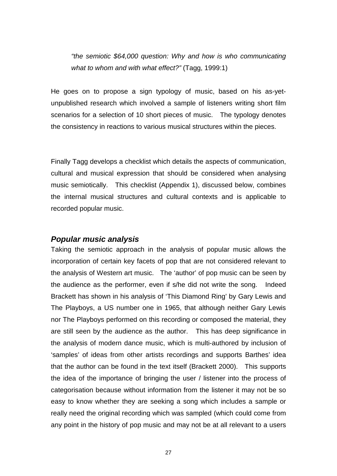*"the semiotic \$64,000 question: Why and how is who communicating what to whom and with what effect?"* (Tagg, 1999:1)

He goes on to propose a sign typology of music, based on his as-yetunpublished research which involved a sample of listeners writing short film scenarios for a selection of 10 short pieces of music. The typology denotes the consistency in reactions to various musical structures within the pieces.

Finally Tagg develops a checklist which details the aspects of communication, cultural and musical expression that should be considered when analysing music semiotically. This checklist (Appendix 1), discussed below, combines the internal musical structures and cultural contexts and is applicable to recorded popular music.

#### *Popular music analysis*

Taking the semiotic approach in the analysis of popular music allows the incorporation of certain key facets of pop that are not considered relevant to the analysis of Western art music. The 'author' of pop music can be seen by the audience as the performer, even if s/he did not write the song. Indeed Brackett has shown in his analysis of 'This Diamond Ring' by Gary Lewis and The Playboys, a US number one in 1965, that although neither Gary Lewis nor The Playboys performed on this recording or composed the material, they are still seen by the audience as the author. This has deep significance in the analysis of modern dance music, which is multi-authored by inclusion of 'samples' of ideas from other artists recordings and supports Barthes' idea that the author can be found in the text itself (Brackett 2000). This supports the idea of the importance of bringing the user / listener into the process of categorisation because without information from the listener it may not be so easy to know whether they are seeking a song which includes a sample or really need the original recording which was sampled (which could come from any point in the history of pop music and may not be at all relevant to a users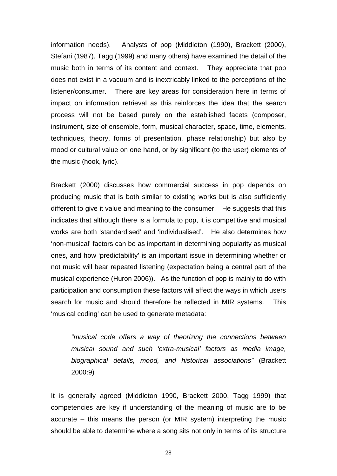information needs). Analysts of pop (Middleton (1990), Brackett (2000), Stefani (1987), Tagg (1999) and many others) have examined the detail of the music both in terms of its content and context. They appreciate that pop does not exist in a vacuum and is inextricably linked to the perceptions of the listener/consumer. There are key areas for consideration here in terms of impact on information retrieval as this reinforces the idea that the search process will not be based purely on the established facets (composer, instrument, size of ensemble, form, musical character, space, time, elements, techniques, theory, forms of presentation, phase relationship) but also by mood or cultural value on one hand, or by significant (to the user) elements of the music (hook, lyric).

Brackett (2000) discusses how commercial success in pop depends on producing music that is both similar to existing works but is also sufficiently different to give it value and meaning to the consumer. He suggests that this indicates that although there is a formula to pop, it is competitive and musical works are both 'standardised' and 'individualised'. He also determines how 'non-musical' factors can be as important in determining popularity as musical ones, and how 'predictability' is an important issue in determining whether or not music will bear repeated listening (expectation being a central part of the musical experience (Huron 2006)). As the function of pop is mainly to do with participation and consumption these factors will affect the ways in which users search for music and should therefore be reflected in MIR systems. This 'musical coding' can be used to generate metadata:

*"musical code offers a way of theorizing the connections between musical sound and such 'extra-musical' factors as media image, biographical details, mood, and historical associations"* (Brackett 2000:9)

It is generally agreed (Middleton 1990, Brackett 2000, Tagg 1999) that competencies are key if understanding of the meaning of music are to be accurate – this means the person (or MIR system) interpreting the music should be able to determine where a song sits not only in terms of its structure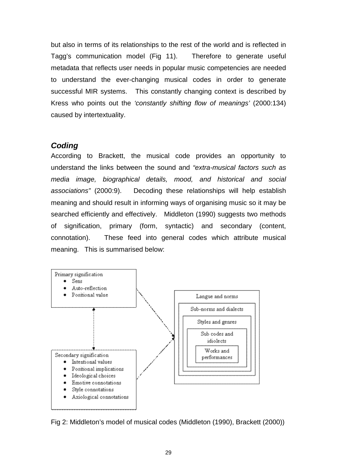but also in terms of its relationships to the rest of the world and is reflected in Tagg's communication model (Fig 11). Therefore to generate useful metadata that reflects user needs in popular music competencies are needed to understand the ever-changing musical codes in order to generate successful MIR systems. This constantly changing context is described by Kress who points out the *'constantly shifting flow of meanings'* (2000:134) caused by intertextuality.

### *Coding*

According to Brackett, the musical code provides an opportunity to understand the links between the sound and *"extra-musical factors such as media image, biographical details, mood, and historical and social associations"* (2000:9). Decoding these relationships will help establish meaning and should result in informing ways of organising music so it may be searched efficiently and effectively. Middleton (1990) suggests two methods of signification, primary (form, syntactic) and secondary (content, connotation). These feed into general codes which attribute musical meaning. This is summarised below:



Fig 2: Middleton's model of musical codes (Middleton (1990), Brackett (2000))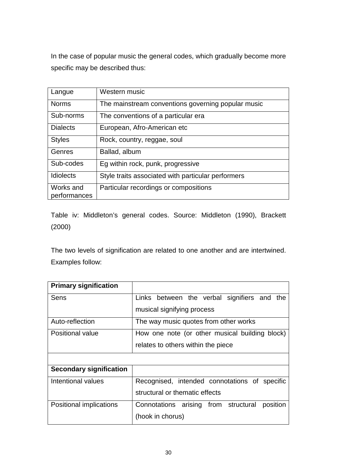In the case of popular music the general codes, which gradually become more specific may be described thus:

| Langue                    | Western music                                      |
|---------------------------|----------------------------------------------------|
| <b>Norms</b>              | The mainstream conventions governing popular music |
| Sub-norms                 | The conventions of a particular era                |
| <b>Dialects</b>           | European, Afro-American etc                        |
| <b>Styles</b>             | Rock, country, reggae, soul                        |
| Genres                    | Ballad, album                                      |
| Sub-codes                 | Eg within rock, punk, progressive                  |
| <b>Idiolects</b>          | Style traits associated with particular performers |
| Works and<br>performances | Particular recordings or compositions              |

Table iv: Middleton's general codes. Source: Middleton (1990), Brackett (2000)

The two levels of signification are related to one another and are intertwined. Examples follow:

| <b>Primary signification</b>   |                                                  |  |
|--------------------------------|--------------------------------------------------|--|
| Sens                           | Links between the verbal signifiers and<br>the   |  |
|                                | musical signifying process                       |  |
| Auto-reflection                | The way music quotes from other works            |  |
| Positional value               | How one note (or other musical building block)   |  |
|                                | relates to others within the piece               |  |
|                                |                                                  |  |
| <b>Secondary signification</b> |                                                  |  |
| Intentional values             | Recognised, intended connotations of specific    |  |
|                                | structural or thematic effects                   |  |
| Positional implications        | Connotations arising from structural<br>position |  |
|                                | (hook in chorus)                                 |  |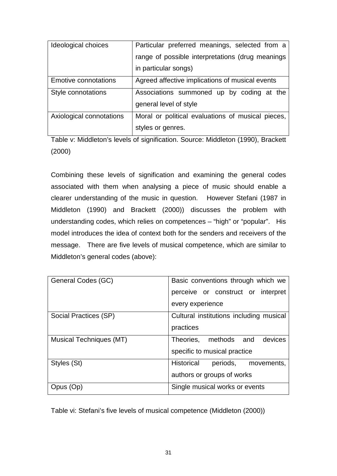| Ideological choices         | Particular preferred meanings, selected from a    |  |
|-----------------------------|---------------------------------------------------|--|
|                             | range of possible interpretations (drug meanings  |  |
|                             | in particular songs)                              |  |
| <b>Emotive connotations</b> | Agreed affective implications of musical events   |  |
| Style connotations          | Associations summoned up by coding at the         |  |
|                             | general level of style                            |  |
| Axiological connotations    | Moral or political evaluations of musical pieces, |  |
|                             | styles or genres.                                 |  |

Table v: Middleton's levels of signification. Source: Middleton (1990), Brackett (2000)

Combining these levels of signification and examining the general codes associated with them when analysing a piece of music should enable a clearer understanding of the music in question. However Stefani (1987 in Middleton (1990) and Brackett (2000)) discusses the problem with understanding codes, which relies on competences – "high" or "popular". His model introduces the idea of context both for the senders and receivers of the message. There are five levels of musical competence, which are similar to Middleton's general codes (above):

| General Codes (GC)      | Basic conventions through which we      |
|-------------------------|-----------------------------------------|
|                         | perceive or construct or interpret      |
|                         | every experience                        |
| Social Practices (SP)   | Cultural institutions including musical |
|                         | practices                               |
| Musical Techniques (MT) | Theories, methods and<br>devices        |
|                         | specific to musical practice            |
| Styles (St)             | Historical<br>periods,<br>movements,    |
|                         | authors or groups of works              |
| <b>Opus</b>             | Single musical works or events          |

Table vi: Stefani's five levels of musical competence (Middleton (2000))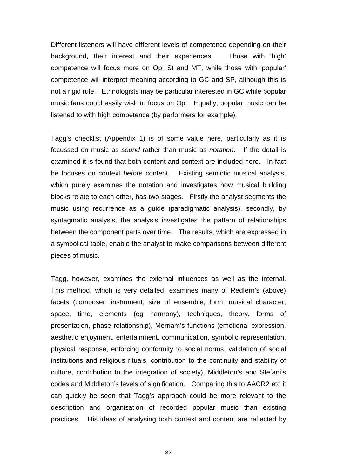Different listeners will have different levels of competence depending on their background, their interest and their experiences. Those with 'high' competence will focus more on Op, St and MT, while those with 'popular' competence will interpret meaning according to GC and SP, although this is not a rigid rule. Ethnologists may be particular interested in GC while popular music fans could easily wish to focus on Op. Equally, popular music can be listened to with high competence (by performers for example).

Tagg's checklist (Appendix 1) is of some value here, particularly as it is focussed on music as *sound* rather than music as *notation*. If the detail is examined it is found that both content and context are included here. In fact he focuses on context *before* content. Existing semiotic musical analysis, which purely examines the notation and investigates how musical building blocks relate to each other, has two stages. Firstly the analyst segments the music using recurrence as a guide (paradigmatic analysis), secondly, by syntagmatic analysis, the analysis investigates the pattern of relationships between the component parts over time. The results, which are expressed in a symbolical table, enable the analyst to make comparisons between different pieces of music.

Tagg, however, examines the external influences as well as the internal. This method, which is very detailed, examines many of Redfern's (above) facets (composer, instrument, size of ensemble, form, musical character, space, time, elements (eg harmony), techniques, theory, forms of presentation, phase relationship), Merriam's functions (emotional expression, aesthetic enjoyment, entertainment, communication, symbolic representation, physical response, enforcing conformity to social norms, validation of social institutions and religious rituals, contribution to the continuity and stability of culture, contribution to the integration of society), Middleton's and Stefani's codes and Middleton's levels of signification. Comparing this to AACR2 etc it can quickly be seen that Tagg's approach could be more relevant to the description and organisation of recorded popular music than existing practices. His ideas of analysing both context and content are reflected by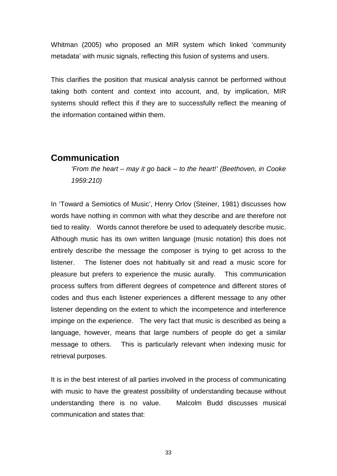Whitman (2005) who proposed an MIR system which linked 'community metadata' with music signals, reflecting this fusion of systems and users.

This clarifies the position that musical analysis cannot be performed without taking both content and context into account, and, by implication, MIR systems should reflect this if they are to successfully reflect the meaning of the information contained within them.

## **Communication**

*'From the heart – may it go back – to the heart!' (Beethoven, in Cooke 1959:210)*

In 'Toward a Semiotics of Music', Henry Orlov (Steiner, 1981) discusses how words have nothing in common with what they describe and are therefore not tied to reality. Words cannot therefore be used to adequately describe music. Although music has its own written language (music notation) this does not entirely describe the message the composer is trying to get across to the listener. The listener does not habitually sit and read a music score for pleasure but prefers to experience the music aurally. This communication process suffers from different degrees of competence and different stores of codes and thus each listener experiences a different message to any other listener depending on the extent to which the incompetence and interference impinge on the experience. The very fact that music is described as being a language, however, means that large numbers of people do get a similar message to others. This is particularly relevant when indexing music for retrieval purposes.

It is in the best interest of all parties involved in the process of communicating with music to have the greatest possibility of understanding because without understanding there is no value. Malcolm Budd discusses musical communication and states that: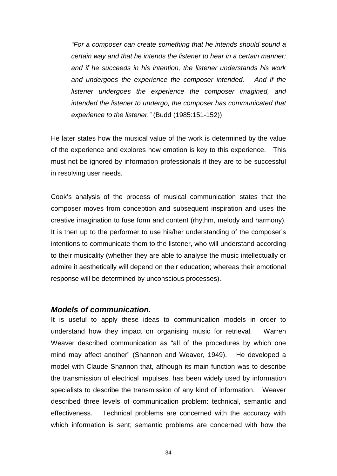*"For a composer can create something that he intends should sound a certain way and that he intends the listener to hear in a certain manner; and if he succeeds in his intention, the listener understands his work and undergoes the experience the composer intended. And if the listener undergoes the experience the composer imagined, and intended the listener to undergo, the composer has communicated that experience to the listener."* (Budd (1985:151-152))

He later states how the musical value of the work is determined by the value of the experience and explores how emotion is key to this experience. This must not be ignored by information professionals if they are to be successful in resolving user needs.

Cook's analysis of the process of musical communication states that the composer moves from conception and subsequent inspiration and uses the creative imagination to fuse form and content (rhythm, melody and harmony). It is then up to the performer to use his/her understanding of the composer's intentions to communicate them to the listener, who will understand according to their musicality (whether they are able to analyse the music intellectually or admire it aesthetically will depend on their education; whereas their emotional response will be determined by unconscious processes).

#### *Models of communication.*

It is useful to apply these ideas to communication models in order to understand how they impact on organising music for retrieval. Warren Weaver described communication as "all of the procedures by which one mind may affect another" (Shannon and Weaver, 1949). He developed a model with Claude Shannon that, although its main function was to describe the transmission of electrical impulses, has been widely used by information specialists to describe the transmission of any kind of information. Weaver described three levels of communication problem: technical, semantic and effectiveness. Technical problems are concerned with the accuracy with which information is sent; semantic problems are concerned with how the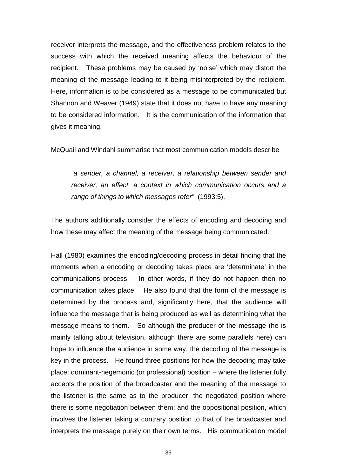receiver interprets the message, and the effectiveness problem relates to the success with which the received meaning affects the behaviour of the recipient. These problems may be caused by 'noise' which may distort the meaning of the message leading to it being misinterpreted by the recipient. Here, information is to be considered as a message to be communicated but Shannon and Weaver (1949) state that it does not have to have any meaning to be considered information. It is the communication of the information that gives it meaning.

McQuail and Windahl summarise that most communication models describe

*"a sender, a channel, a receiver, a relationship between sender and receiver, an effect, a context in which communication occurs and a range of things to which messages refer"* (1993:5),

The authors additionally consider the effects of encoding and decoding and how these may affect the meaning of the message being communicated.

Hall (1980) examines the encoding/decoding process in detail finding that the moments when a encoding or decoding takes place are 'determinate' in the communications process. In other words, if they do not happen then no communication takes place. He also found that the form of the message is determined by the process and, significantly here, that the audience will influence the message that is being produced as well as determining what the message means to them. So although the producer of the message (he is mainly talking about television, although there are some parallels here) can hope to influence the audience in some way, the decoding of the message is key in the process. He found three positions for how the decoding may take place: dominant-hegemonic (or professional) position – where the listener fully accepts the position of the broadcaster and the meaning of the message to the listener is the same as to the producer; the negotiated position where there is some negotiation between them; and the oppositional position, which involves the listener taking a contrary position to that of the broadcaster and interprets the message purely on their own terms. His communication model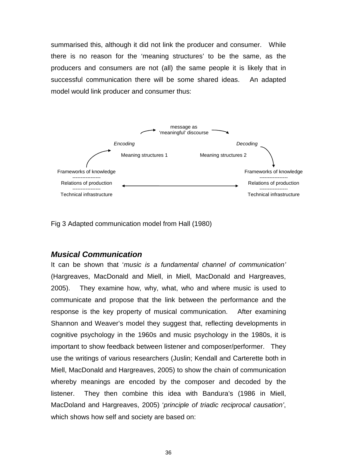summarised this, although it did not link the producer and consumer. While there is no reason for the 'meaning structures' to be the same, as the producers and consumers are not (all) the same people it is likely that in successful communication there will be some shared ideas. An adapted model would link producer and consumer thus:



Fig 3 Adapted communication model from Hall (1980)

#### *Musical Communication*

It can be shown that '*music is a fundamental channel of communication'* (Hargreaves, MacDonald and Miell, in Miell, MacDonald and Hargreaves, 2005). They examine how, why, what, who and where music is used to communicate and propose that the link between the performance and the response is the key property of musical communication. After examining Shannon and Weaver's model they suggest that, reflecting developments in cognitive psychology in the 1960s and music psychology in the 1980s, it is important to show feedback between listener and composer/performer. They use the writings of various researchers (Juslin; Kendall and Carterette both in Miell, MacDonald and Hargreaves, 2005) to show the chain of communication whereby meanings are encoded by the composer and decoded by the listener. They then combine this idea with Bandura's (1986 in Miell, MacDoland and Hargreaves, 2005) '*principle of triadic reciprocal causation'*, which shows how self and society are based on: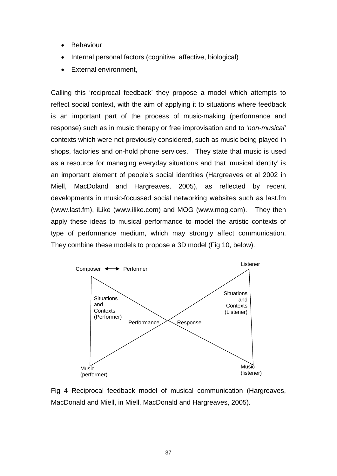- Behaviour
- Internal personal factors (cognitive, affective, biological)
- External environment,

Calling this 'reciprocal feedback' they propose a model which attempts to reflect social context, with the aim of applying it to situations where feedback is an important part of the process of music-making (performance and response) such as in music therapy or free improvisation and to '*non-musical'*  contexts which were not previously considered, such as music being played in shops, factories and on-hold phone services. They state that music is used as a resource for managing everyday situations and that 'musical identity' is an important element of people's social identities (Hargreaves et al 2002 in Miell, MacDoland and Hargreaves, 2005), as reflected by recent developments in music-focussed social networking websites such as last.fm (www.last.fm), iLike (www.ilike.com) and MOG (www.mog.com). They then apply these ideas to musical performance to model the artistic contexts of type of performance medium, which may strongly affect communication. They combine these models to propose a 3D model (Fig 10, below).



Fig 4 Reciprocal feedback model of musical communication (Hargreaves, MacDonald and Miell, in Miell, MacDonald and Hargreaves, 2005).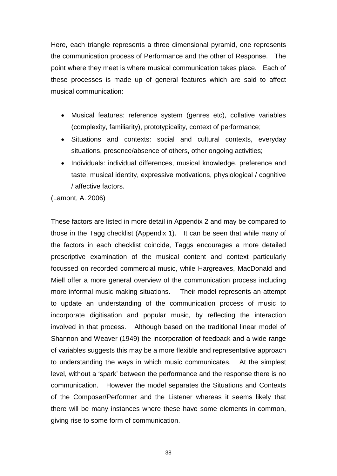Here, each triangle represents a three dimensional pyramid, one represents the communication process of Performance and the other of Response. The point where they meet is where musical communication takes place. Each of these processes is made up of general features which are said to affect musical communication:

- Musical features: reference system (genres etc), collative variables (complexity, familiarity), prototypicality, context of performance;
- Situations and contexts: social and cultural contexts, everyday situations, presence/absence of others, other ongoing activities;
- Individuals: individual differences, musical knowledge, preference and taste, musical identity, expressive motivations, physiological / cognitive / affective factors.

(Lamont, A. 2006)

These factors are listed in more detail in Appendix 2 and may be compared to those in the Tagg checklist (Appendix 1). It can be seen that while many of the factors in each checklist coincide, Taggs encourages a more detailed prescriptive examination of the musical content and context particularly focussed on recorded commercial music, while Hargreaves, MacDonald and Miell offer a more general overview of the communication process including more informal music making situations. Their model represents an attempt to update an understanding of the communication process of music to incorporate digitisation and popular music, by reflecting the interaction involved in that process. Although based on the traditional linear model of Shannon and Weaver (1949) the incorporation of feedback and a wide range of variables suggests this may be a more flexible and representative approach to understanding the ways in which music communicates. At the simplest level, without a 'spark' between the performance and the response there is no communication. However the model separates the Situations and Contexts of the Composer/Performer and the Listener whereas it seems likely that there will be many instances where these have some elements in common, giving rise to some form of communication.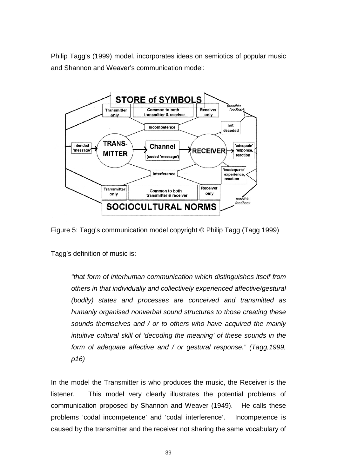Philip Tagg's (1999) model, incorporates ideas on semiotics of popular music and Shannon and Weaver's communication model:



Figure 5: Tagg's communication model copyright © Philip Tagg (Tagg 1999)

Tagg's definition of music is:

*"that form of interhuman communication which distinguishes itself from others in that individually and collectively experienced affective/gestural (bodily) states and processes are conceived and transmitted as humanly organised nonverbal sound structures to those creating these sounds themselves and / or to others who have acquired the mainly intuitive cultural skill of 'decoding the meaning' of these sounds in the form of adequate affective and / or gestural response." (Tagg,1999, p16)*

In the model the Transmitter is who produces the music, the Receiver is the listener. This model very clearly illustrates the potential problems of communication proposed by Shannon and Weaver (1949). He calls these problems 'codal incompetence' and 'codal interference'. Incompetence is caused by the transmitter and the receiver not sharing the same vocabulary of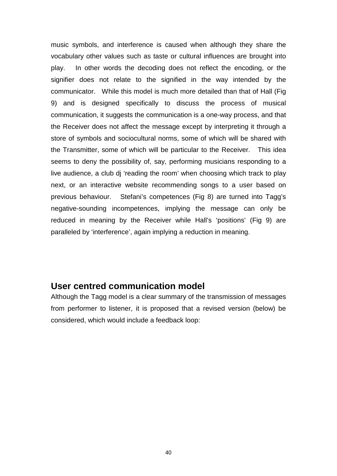music symbols, and interference is caused when although they share the vocabulary other values such as taste or cultural influences are brought into play. In other words the decoding does not reflect the encoding, or the signifier does not relate to the signified in the way intended by the communicator. While this model is much more detailed than that of Hall (Fig 9) and is designed specifically to discuss the process of musical communication, it suggests the communication is a one-way process, and that the Receiver does not affect the message except by interpreting it through a store of symbols and sociocultural norms, some of which will be shared with the Transmitter, some of which will be particular to the Receiver. This idea seems to deny the possibility of, say, performing musicians responding to a live audience, a club dj 'reading the room' when choosing which track to play next, or an interactive website recommending songs to a user based on previous behaviour. Stefani's competences (Fig 8) are turned into Tagg's negative-sounding incompetences, implying the message can only be reduced in meaning by the Receiver while Hall's 'positions' (Fig 9) are paralleled by 'interference', again implying a reduction in meaning.

## **User centred communication model**

Although the Tagg model is a clear summary of the transmission of messages from performer to listener, it is proposed that a revised version (below) be considered, which would include a feedback loop: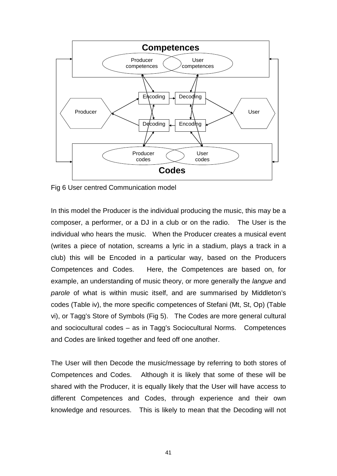

Fig 6 User centred Communication model

In this model the Producer is the individual producing the music, this may be a composer, a performer, or a DJ in a club or on the radio. The User is the individual who hears the music. When the Producer creates a musical event (writes a piece of notation, screams a lyric in a stadium, plays a track in a club) this will be Encoded in a particular way, based on the Producers Competences and Codes. Here, the Competences are based on, for example, an understanding of music theory, or more generally the *langue* and *parole* of what is within music itself, and are summarised by Middleton's codes (Table iv), the more specific competences of Stefani (Mt, St, Op) (Table vi), or Tagg's Store of Symbols (Fig 5). The Codes are more general cultural and sociocultural codes – as in Tagg's Sociocultural Norms. Competences and Codes are linked together and feed off one another.

The User will then Decode the music/message by referring to both stores of Competences and Codes. Although it is likely that some of these will be shared with the Producer, it is equally likely that the User will have access to different Competences and Codes, through experience and their own knowledge and resources. This is likely to mean that the Decoding will not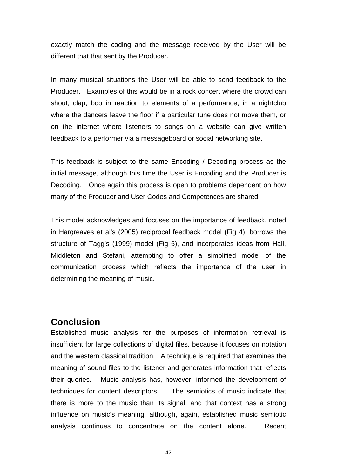exactly match the coding and the message received by the User will be different that that sent by the Producer.

In many musical situations the User will be able to send feedback to the Producer. Examples of this would be in a rock concert where the crowd can shout, clap, boo in reaction to elements of a performance, in a nightclub where the dancers leave the floor if a particular tune does not move them, or on the internet where listeners to songs on a website can give written feedback to a performer via a messageboard or social networking site.

This feedback is subject to the same Encoding / Decoding process as the initial message, although this time the User is Encoding and the Producer is Decoding. Once again this process is open to problems dependent on how many of the Producer and User Codes and Competences are shared.

This model acknowledges and focuses on the importance of feedback, noted in Hargreaves et al's (2005) reciprocal feedback model (Fig 4), borrows the structure of Tagg's (1999) model (Fig 5), and incorporates ideas from Hall, Middleton and Stefani, attempting to offer a simplified model of the communication process which reflects the importance of the user in determining the meaning of music.

# **Conclusion**

Established music analysis for the purposes of information retrieval is insufficient for large collections of digital files, because it focuses on notation and the western classical tradition. A technique is required that examines the meaning of sound files to the listener and generates information that reflects their queries. Music analysis has, however, informed the development of techniques for content descriptors. The semiotics of music indicate that there is more to the music than its signal, and that context has a strong influence on music's meaning, although, again, established music semiotic analysis continues to concentrate on the content alone. Recent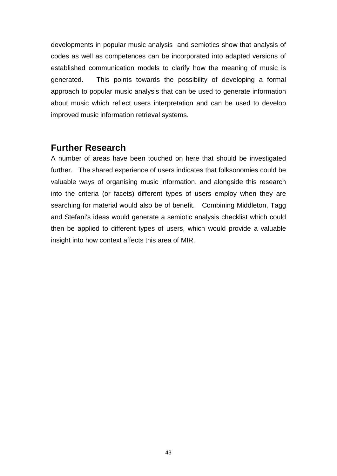developments in popular music analysis and semiotics show that analysis of codes as well as competences can be incorporated into adapted versions of established communication models to clarify how the meaning of music is generated. This points towards the possibility of developing a formal approach to popular music analysis that can be used to generate information about music which reflect users interpretation and can be used to develop improved music information retrieval systems.

## **Further Research**

A number of areas have been touched on here that should be investigated further. The shared experience of users indicates that folksonomies could be valuable ways of organising music information, and alongside this research into the criteria (or facets) different types of users employ when they are searching for material would also be of benefit. Combining Middleton, Tagg and Stefani's ideas would generate a semiotic analysis checklist which could then be applied to different types of users, which would provide a valuable insight into how context affects this area of MIR.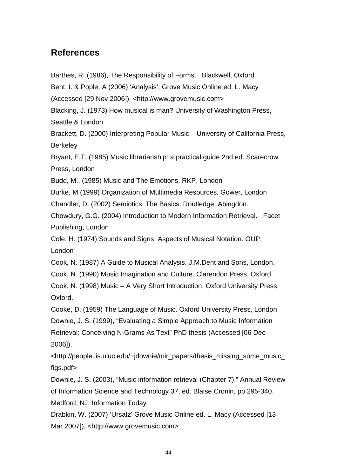## **References**

Barthes, R. (1986), The Responsibility of Forms. Blackwell, Oxford

Bent, I. & Pople, A (2006) 'Analysis', Grove Music Online ed. L. Macy

(Accessed [29 Nov 2006]), <http://www.grovemusic.com>

Blacking, J. (1973) How musical is man? University of Washington Press,

Seattle & London

Brackett, D. (2000) Interpreting Popular Music. University of California Press, **Berkeley** 

Bryant, E.T. (1985) Music librarianship: a practical guide 2nd ed. Scarecrow Press, London

Budd, M., (1985) Music and The Emotions, RKP, London

Burke, M (1999) Organization of Multimedia Resources, Gower, London

Chandler, D. (2002) Semiotics: The Basics. Routledge, Abingdon.

Chowdury, G.G. (2004) Introduction to Modern Information Retrieval. Facet Publishing, London

Cole, H. (1974) Sounds and Signs: Aspects of Musical Notation. OUP, London

Cook, N. (1987) A Guide to Musical Analysis. J.M.Dent and Sons, London.

Cook, N. (1990) Music Imagination and Culture. Clarendon Press, Oxford

Cook, N. (1998) Music – A Very Short Introduction. Oxford University Press, Oxford.

Cooke, D. (1959) The Language of Music. Oxford University Press, London Downie, J. S. (1999), "Evaluating a Simple Approach to Music Information Retrieval: Conceiving N-Grams As Text" PhD thesis (Accessed [06 Dec 2006]),

<http://people.lis.uiuc.edu/~jdownie/mir\_papers/thesis\_missing\_some\_music\_ figs.pdf>

Downie, J. S. (2003), "Music information retrieval (Chapter 7)." Annual Review of Information Science and Technology 37, ed. Blaise Cronin, pp 295-340. Medford, NJ: Information Today

Drabkin, W. (2007) 'Ursatz' Grove Music Online ed. L. Macy (Accessed [13 Mar 2007]), <http://www.grovemusic.com>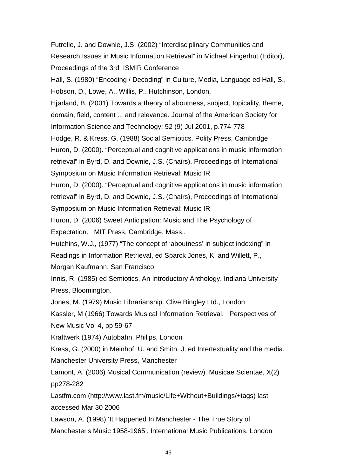Futrelle, J. and Downie, J.S. (2002) "Interdisciplinary Communities and Research Issues in Music Information Retrieval" in Michael Fingerhut (Editor), Proceedings of the 3rd ISMIR Conference

Hall, S. (1980) "Encoding / Decoding" in Culture, Media, Language ed Hall, S., Hobson, D., Lowe, A., Willis, P.. Hutchinson, London.

Hjørland, B. (2001) Towards a theory of aboutness, subject, topicality, theme, domain, field, content ... and relevance. Journal of the American Society for Information Science and Technology; 52 (9) Jul 2001, p.774-778

Hodge, R. & Kress, G. (1988) Social Semiotics. Polity Press, Cambridge Huron, D. (2000). "Perceptual and cognitive applications in music information retrieval" in Byrd, D. and Downie, J.S. (Chairs), Proceedings of International Symposium on Music Information Retrieval: Music IR

Huron, D. (2000). "Perceptual and cognitive applications in music information retrieval" in Byrd, D. and Downie, J.S. (Chairs), Proceedings of International Symposium on Music Information Retrieval: Music IR

Huron, D. (2006) Sweet Anticipation: Music and The Psychology of Expectation. MIT Press, Cambridge, Mass..

Hutchins, W.J., (1977) "The concept of 'aboutness' in subject indexing" in Readings in Information Retrieval, ed Sparck Jones, K. and Willett, P., Morgan Kaufmann, San Francisco

Innis, R. (1985) ed Semiotics, An Introductory Anthology, Indiana University Press, Bloomington.

Jones, M. (1979) Music Librarianship. Clive Bingley Ltd., London

Kassler, M (1966) Towards Musical Information Retrieval. Perspectives of New Music Vol 4, pp 59-67

Kraftwerk (1974) Autobahn. Philips, London

Kress, G. (2000) in Meinhof, U. and Smith, J. ed Intertextuality and the media. Manchester University Press, Manchester

Lamont, A. (2006) Musical Communication (review). Musicae Scientae, X(2) pp278-282

Lastfm.com (http://www.last.fm/music/Life+Without+Buildings/+tags) last accessed Mar 30 2006

Lawson, A. (1998) 'It Happened In Manchester - The True Story of Manchester's Music 1958-1965'. International Music Publications, London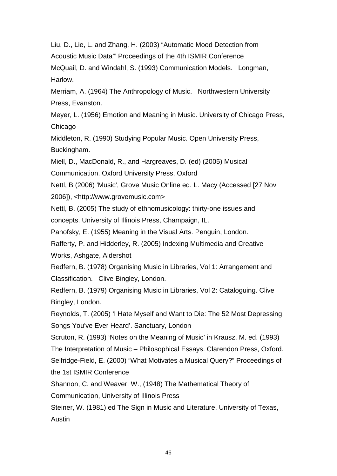Liu, D., Lie, L. and Zhang, H. (2003) "Automatic Mood Detection from Acoustic Music Data'" Proceedings of the 4th ISMIR Conference McQuail, D. and Windahl, S. (1993) Communication Models. Longman,

Harlow.

Merriam, A. (1964) The Anthropology of Music. Northwestern University Press, Evanston.

Meyer, L. (1956) Emotion and Meaning in Music. University of Chicago Press, Chicago

Middleton, R. (1990) Studying Popular Music. Open University Press, Buckingham.

Miell, D., MacDonald, R., and Hargreaves, D. (ed) (2005) Musical

Communication. Oxford University Press, Oxford

Nettl, B (2006) 'Music', Grove Music Online ed. L. Macy (Accessed [27 Nov 2006]), <http://www.grovemusic.com>

Nettl, B. (2005) The study of ethnomusicology: thirty-one issues and concepts. University of Illinois Press, Champaign, IL.

Panofsky, E. (1955) Meaning in the Visual Arts. Penguin, London.

Rafferty, P. and Hidderley, R. (2005) Indexing Multimedia and Creative Works, Ashgate, Aldershot

Redfern, B. (1978) Organising Music in Libraries, Vol 1: Arrangement and Classification. Clive Bingley, London.

Redfern, B. (1979) Organising Music in Libraries, Vol 2: Cataloguing. Clive Bingley, London.

Reynolds, T. (2005) 'I Hate Myself and Want to Die: The 52 Most Depressing Songs You've Ever Heard'. Sanctuary, London

Scruton, R. (1993) 'Notes on the Meaning of Music' in Krausz, M. ed. (1993) The Interpretation of Music – Philosophical Essays. Clarendon Press, Oxford. Selfridge-Field, E. (2000) "What Motivates a Musical Query?" Proceedings of the 1st ISMIR Conference

Shannon, C. and Weaver, W., (1948) The Mathematical Theory of

Communication, University of Illinois Press

Steiner, W. (1981) ed The Sign in Music and Literature, University of Texas, Austin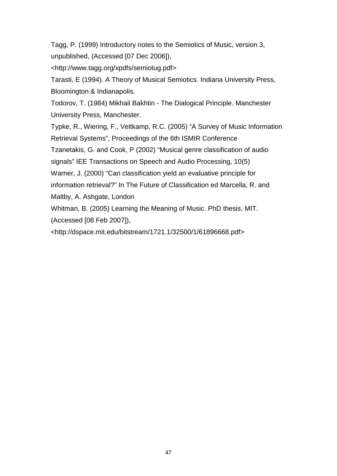Tagg, P. (1999) Introductory notes to the Semiotics of Music, version 3, unpublished, (Accessed [07 Dec 2006]),

<http://www.tagg.org/xpdfs/semiotug.pdf>

Tarasti, E (1994). A Theory of Musical Semiotics. Indiana University Press, Bloomington & Indianapolis.

Todorov, T. (1984) Mikhail Bakhtin - The Dialogical Principle. Manchester University Press, Manchester.

Typke, R., Wiering, F., Veltkamp, R.C. (2005) "A Survey of Music Information Retrieval Systems", Proceedings of the 6th ISMIR Conference

Tzanetakis, G. and Cook, P (2002) "Musical genre classification of audio

signals" IEE Transactions on Speech and Audio Processing, 10(5)

Warner, J. (2000) "Can classification yield an evaluative principle for

information retrieval?" In The Future of Classification ed Marcella, R. and Maltby, A. Ashgate, London

Whitman, B. (2005) Learning the Meaning of Music. PhD thesis, MIT.

(Accessed [08 Feb 2007]),

<http://dspace.mit.edu/bitstream/1721.1/32500/1/61896668.pdf>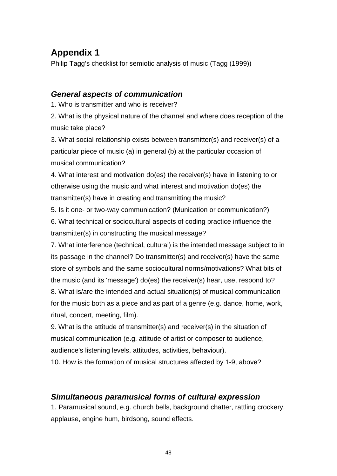# **Appendix 1**

Philip Tagg's checklist for semiotic analysis of music (Tagg (1999))

## *General aspects of communication*

1. Who is transmitter and who is receiver?

2. What is the physical nature of the channel and where does reception of the music take place?

3. What social relationship exists between transmitter(s) and receiver(s) of a particular piece of music (a) in general (b) at the particular occasion of musical communication?

4. What interest and motivation do(es) the receiver(s) have in listening to or otherwise using the music and what interest and motivation do(es) the transmitter(s) have in creating and transmitting the music?

5. Is it one- or two-way communication? (Munication or communication?) 6. What technical or sociocultural aspects of coding practice influence the transmitter(s) in constructing the musical message?

7. What interference (technical, cultural) is the intended message subject to in its passage in the channel? Do transmitter(s) and receiver(s) have the same store of symbols and the same sociocultural norms/motivations? What bits of the music (and its 'message') do(es) the receiver(s) hear, use, respond to? 8. What is/are the intended and actual situation(s) of musical communication for the music both as a piece and as part of a genre (e.g. dance, home, work, ritual, concert, meeting, film).

9. What is the attitude of transmitter(s) and receiver(s) in the situation of musical communication (e.g. attitude of artist or composer to audience, audience's listening levels, attitudes, activities, behaviour).

10. How is the formation of musical structures affected by 1-9, above?

## *Simultaneous paramusical forms of cultural expression*

1. Paramusical sound, e.g. church bells, background chatter, rattling crockery, applause, engine hum, birdsong, sound effects.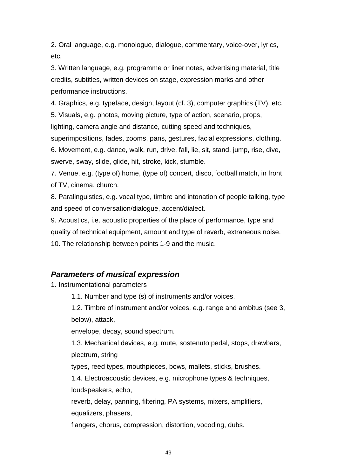2. Oral language, e.g. monologue, dialogue, commentary, voice-over, lyrics, etc.

3. Written language, e.g. programme or liner notes, advertising material, title credits, subtitles, written devices on stage, expression marks and other performance instructions.

4. Graphics, e.g. typeface, design, layout (cf. 3), computer graphics (TV), etc.

5. Visuals, e.g. photos, moving picture, type of action, scenario, props, lighting, camera angle and distance, cutting speed and techniques,

superimpositions, fades, zooms, pans, gestures, facial expressions, clothing. 6. Movement, e.g. dance, walk, run, drive, fall, lie, sit, stand, jump, rise, dive, swerve, sway, slide, glide, hit, stroke, kick, stumble.

7. Venue, e.g. (type of) home, (type of) concert, disco, football match, in front of TV, cinema, church.

8. Paralinguistics, e.g. vocal type, timbre and intonation of people talking, type and speed of conversation/dialogue, accent/dialect.

9. Acoustics, i.e. acoustic properties of the place of performance, type and quality of technical equipment, amount and type of reverb, extraneous noise. 10. The relationship between points 1-9 and the music.

## *Parameters of musical expression*

1. Instrumentational parameters

1.1. Number and type (s) of instruments and/or voices.

1.2. Timbre of instrument and/or voices, e.g. range and ambitus (see 3, below), attack,

envelope, decay, sound spectrum.

1.3. Mechanical devices, e.g. mute, sostenuto pedal, stops, drawbars, plectrum, string

types, reed types, mouthpieces, bows, mallets, sticks, brushes.

1.4. Electroacoustic devices, e.g. microphone types & techniques, loudspeakers, echo,

reverb, delay, panning, filtering, PA systems, mixers, amplifiers, equalizers, phasers,

flangers, chorus, compression, distortion, vocoding, dubs.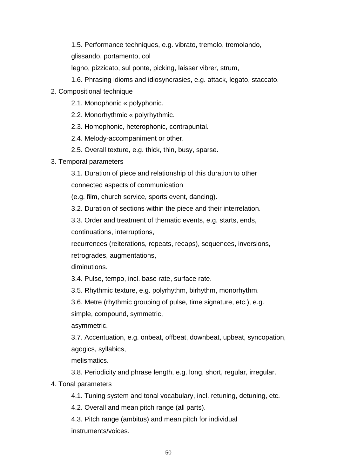1.5. Performance techniques, e.g. vibrato, tremolo, tremolando, glissando, portamento, col

legno, pizzicato, sul ponte, picking, laisser vibrer, strum,

- 1.6. Phrasing idioms and idiosyncrasies, e.g. attack, legato, staccato.
- 2. Compositional technique
	- 2.1. Monophonic « polyphonic.
	- 2.2. Monorhythmic « polyrhythmic.
	- 2.3. Homophonic, heterophonic, contrapuntal.

2.4. Melody-accompaniment or other.

- 2.5. Overall texture, e.g. thick, thin, busy, sparse.
- 3. Temporal parameters

3.1. Duration of piece and relationship of this duration to other connected aspects of communication

(e.g. film, church service, sports event, dancing).

3.2. Duration of sections within the piece and their interrelation.

3.3. Order and treatment of thematic events, e.g. starts, ends, continuations, interruptions,

recurrences (reiterations, repeats, recaps), sequences, inversions, retrogrades, augmentations,

diminutions.

3.4. Pulse, tempo, incl. base rate, surface rate.

3.5. Rhythmic texture, e.g. polyrhythm, birhythm, monorhythm.

3.6. Metre (rhythmic grouping of pulse, time signature, etc.), e.g. simple, compound, symmetric,

asymmetric.

3.7. Accentuation, e.g. onbeat, offbeat, downbeat, upbeat, syncopation, agogics, syllabics,

melismatics.

3.8. Periodicity and phrase length, e.g. long, short, regular, irregular.

4. Tonal parameters

4.1. Tuning system and tonal vocabulary, incl. retuning, detuning, etc.

4.2. Overall and mean pitch range (all parts).

4.3. Pitch range (ambitus) and mean pitch for individual instruments/voices.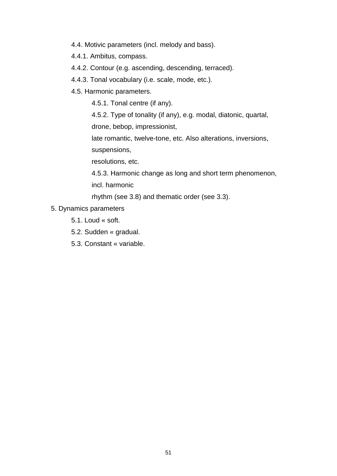- 4.4. Motivic parameters (incl. melody and bass).
- 4.4.1. Ambitus, compass.
- 4.4.2. Contour (e.g. ascending, descending, terraced).
- 4.4.3. Tonal vocabulary (i.e. scale, mode, etc.).
- 4.5. Harmonic parameters.
	- 4.5.1. Tonal centre (if any).

4.5.2. Type of tonality (if any), e.g. modal, diatonic, quartal,

drone, bebop, impressionist,

late romantic, twelve-tone, etc. Also alterations, inversions, suspensions,

resolutions, etc.

4.5.3. Harmonic change as long and short term phenomenon, incl. harmonic

rhythm (see 3.8) and thematic order (see 3.3).

- 5. Dynamics parameters
	- 5.1. Loud « soft.
	- 5.2. Sudden « gradual.
	- 5.3. Constant « variable.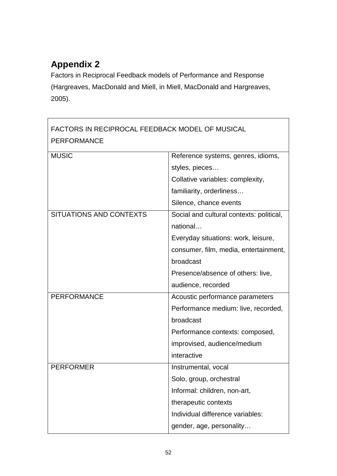# **Appendix 2**

Factors in Reciprocal Feedback models of Performance and Response (Hargreaves, MacDonald and Miell, in Miell, MacDonald and Hargreaves, 2005).

| FACTORS IN RECIPROCAL FEEDBACK MODEL OF MUSICAL<br><b>PERFORMANCE</b> |                                          |  |
|-----------------------------------------------------------------------|------------------------------------------|--|
| <b>MUSIC</b>                                                          | Reference systems, genres, idioms,       |  |
|                                                                       | styles, pieces                           |  |
|                                                                       | Collative variables: complexity,         |  |
|                                                                       | familiarity, orderliness                 |  |
|                                                                       | Silence, chance events                   |  |
| SITUATIONS AND CONTEXTS                                               | Social and cultural contexts: political, |  |
|                                                                       | national                                 |  |
|                                                                       | Everyday situations: work, leisure,      |  |
|                                                                       | consumer, film, media, entertainment,    |  |
|                                                                       | broadcast                                |  |
|                                                                       | Presence/absence of others: live,        |  |
|                                                                       | audience, recorded                       |  |
| <b>PERFORMANCE</b>                                                    | Acoustic performance parameters          |  |
|                                                                       | Performance medium: live, recorded,      |  |
|                                                                       | broadcast                                |  |
|                                                                       | Performance contexts: composed,          |  |
|                                                                       | improvised, audience/medium              |  |
|                                                                       | interactive                              |  |
| <b>PERFORMER</b>                                                      | Instrumental, vocal                      |  |
|                                                                       | Solo, group, orchestral                  |  |
|                                                                       | Informal: children, non-art,             |  |
|                                                                       | therapeutic contexts                     |  |
|                                                                       | Individual difference variables:         |  |
|                                                                       | gender, age, personality                 |  |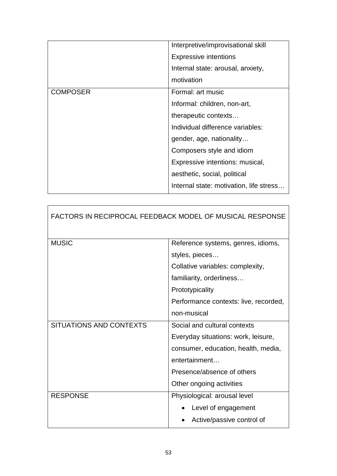|                 | Interpretive/improvisational skill      |
|-----------------|-----------------------------------------|
|                 | <b>Expressive intentions</b>            |
|                 | Internal state: arousal, anxiety,       |
|                 | motivation                              |
| <b>COMPOSER</b> | Formal: art music                       |
|                 | Informal: children, non-art,            |
|                 | therapeutic contexts                    |
|                 | Individual difference variables:        |
|                 | gender, age, nationality                |
|                 | Composers style and idiom               |
|                 | Expressive intentions: musical,         |
|                 | aesthetic, social, political            |
|                 | Internal state: motivation, life stress |

| <b>FACTORS IN RECIPROCAL FEEDBACK MODEL OF MUSICAL RESPONSE</b> |                                       |  |
|-----------------------------------------------------------------|---------------------------------------|--|
| <b>MUSIC</b>                                                    | Reference systems, genres, idioms,    |  |
|                                                                 | styles, pieces                        |  |
|                                                                 | Collative variables: complexity,      |  |
|                                                                 | familiarity, orderliness              |  |
|                                                                 | Prototypicality                       |  |
|                                                                 | Performance contexts: live, recorded, |  |
|                                                                 | non-musical                           |  |
| SITUATIONS AND CONTEXTS                                         | Social and cultural contexts          |  |
|                                                                 | Everyday situations: work, leisure,   |  |
|                                                                 | consumer, education, health, media,   |  |
|                                                                 | entertainment                         |  |
|                                                                 | Presence/absence of others            |  |
|                                                                 | Other ongoing activities              |  |
| <b>RESPONSE</b>                                                 | Physiological: arousal level          |  |
|                                                                 | Level of engagement                   |  |
|                                                                 | Active/passive control of             |  |